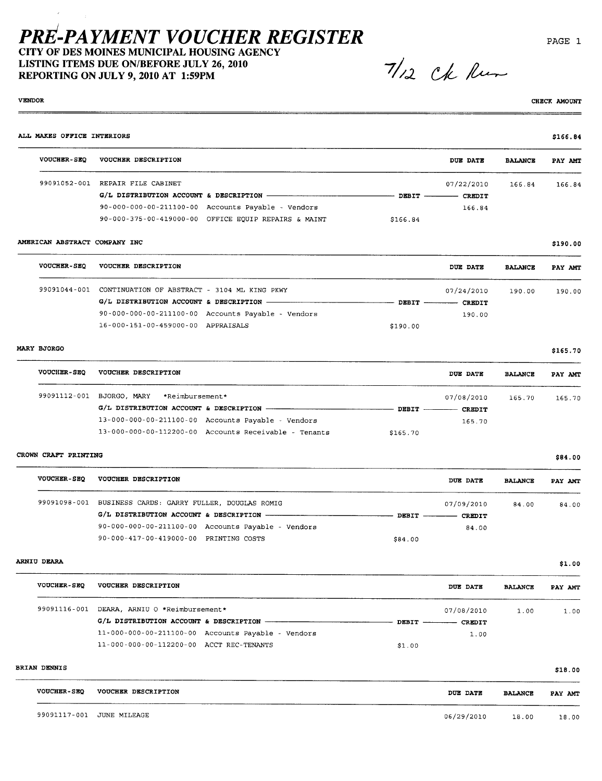CITY OF DES MOINES MUNICIPAL HOUSING AGENCY LISTING ITEMS DUE ON/BEFORE JULY 26, 2010 REPORTING ON JULY 9,2010 AT 1:59PM

 $71/2$  Ck Run

#### VENOR

CHECK AMOUN

| ALL MAKES OFFICE INTERIORS    |                                                                |          |                          |                | \$166.84 |
|-------------------------------|----------------------------------------------------------------|----------|--------------------------|----------------|----------|
|                               | VOUCHER-SEQ VOUCHER DESCRIPTION                                |          | <b>DUE DATE</b>          | <b>BALANCE</b> | PAY AMT  |
|                               | 99091052-001 REPAIR FILE CABINET                               |          | 07/22/2010 166.84        |                | 166.84   |
|                               |                                                                |          |                          |                |          |
|                               | $90 - 000 - 000 - 00 - 211100 - 00$ Accounts Payable - Vendors |          | 166.84                   |                |          |
|                               | 90-000-375-00-419000-00 OFFICE EQUIP REPAIRS & MAINT           | \$166.84 |                          |                |          |
| AMERICAN ABSTRACT COMPANY INC |                                                                |          |                          |                | \$190.00 |
|                               | VOUCHER-SEQ VOUCHER DESCRIPTION                                |          | <b>DUE DATE</b>          | <b>BALANCE</b> | PAY AMT  |
|                               | 99091044-001 CONTINUATION OF ABSTRACT - 3104 ML KING PKWY      |          | 07/24/2010 190.00        |                | 190.00   |
|                               |                                                                |          |                          |                |          |
|                               | 90-000-000-00-211100-00 Accounts Payable - Vendors             |          | 190.00                   |                |          |
|                               | 16-000-151-00-459000-00 APPRAISALS                             | \$190.00 |                          |                |          |
| MARY BJORGO                   |                                                                |          |                          |                | \$165.70 |
|                               | VOUCHER-SEQ VOUCHER DESCRIPTION                                |          | <b>DUE DATE</b>          | <b>BALANCE</b> | PAY AMT  |
|                               | 99091112-001 BJORGO, MARY *Reimbursement*                      |          | 07/08/2010 165.70        |                | 165.70   |
|                               |                                                                |          |                          |                |          |
|                               | 13-000-000-00-211100-00 Accounts Payable - Vendors             |          | 165.70                   |                |          |
|                               | 13-000-000-00-112200-00 Accounts Receivable - Tenants          | \$165.70 |                          |                |          |
| CROWN CRAFT PRINTING          |                                                                |          |                          |                | \$84.00  |
|                               | VOUCHER-SEQ VOUCHER DESCRIPTION                                |          | <b>DUE DATE</b>          | <b>BALANCE</b> | PAY AMT  |
|                               | 99091098-001 BUSINESS CARDS: GARRY FULLER, DOUGLAS ROMIG       |          | 07/09/2010               | 84.00          | 84,00    |
|                               |                                                                |          |                          |                |          |
|                               | 90-000-000-00-211100-00 Accounts Payable - Vendors             |          | 84.00                    |                |          |
|                               | 90-000-417-00-419000-00 PRINTING COSTS                         | \$84.00  |                          |                |          |
| <b>ARNIU DEARA</b>            |                                                                |          |                          |                | \$1.00   |
| <b>VOUCHER-SEQ</b>            | VOUCHER DESCRIPTION                                            |          | DUE DATE                 | <b>BALANCE</b> | PAY AMT  |
|                               | 99091116-001 DEARA, ARNIU O *Reimbursement*                    |          | 07/08/2010               | 1.00           | 1.00     |
|                               |                                                                |          | - DEBIT --------- CREDIT |                |          |
|                               | 11-000-000-00-211100-00 Accounts Payable - Vendors             |          | 1.00                     |                |          |
|                               | 11-000-000-00-112200-00 ACCT REC-TENANTS                       | \$1.00   |                          |                |          |
| <b>BRIAN DENNIS</b>           |                                                                |          |                          |                | \$18.00  |
| <b>VOUCHER-SEQ</b>            | VOUCHER DESCRIPTION                                            |          | <b>DUE DATE</b>          | <b>BALANCE</b> | PAY AMT  |
|                               |                                                                |          |                          |                |          |

PAGE i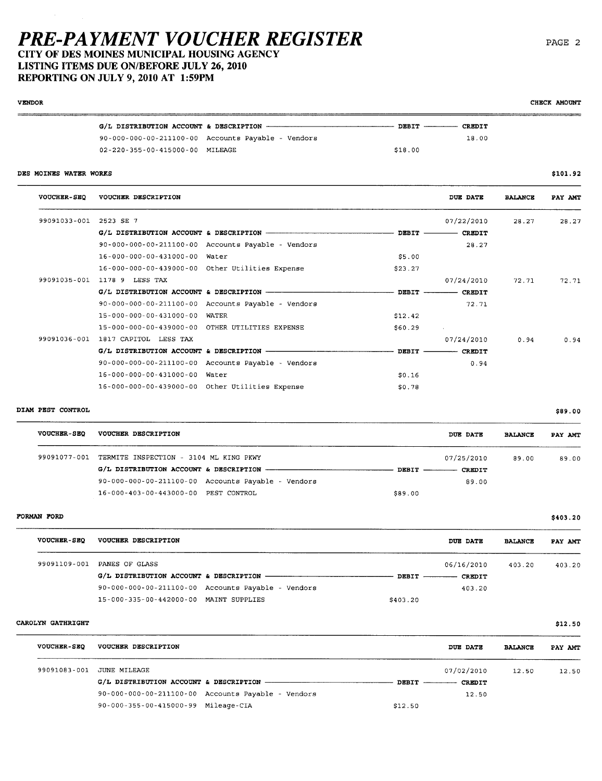### PRE.PAYMENT VOUCHER REGISTER CITY OF DES MOINES MUNICIPAL HOUSING AGENCY

16-000-000-00-439000-00 Other Utilities Expense

LISTING ITEMS DUE ON/BEFORE JULY 26, 2010

REPORTING ON JULY 9,2010 AT 1:59PM

|                        |                                                 | G/L DISTRIBUTION ACCOUNT & DESCRIPTION - THE RESOLUTION                               | $\sim$ DEBIT $\sim$ | <b>CREDIT</b> |                |          |
|------------------------|-------------------------------------------------|---------------------------------------------------------------------------------------|---------------------|---------------|----------------|----------|
|                        |                                                 | 90-000-000-00-211100-00 Accounts Payable - Vendors                                    |                     | 18.00         |                |          |
|                        | 02-220-355-00-415000-00 MILEAGE                 |                                                                                       | \$18.00             |               |                |          |
| DES MOINES WATER WORKS |                                                 |                                                                                       |                     |               |                | \$101.92 |
| <b>VOUCHER-SEQ</b>     | <b>VOUCHER DESCRIPTION</b>                      |                                                                                       |                     | DUE DATE      | <b>BALANCE</b> | PAY AMT  |
| 99091033-001           | 2523 SE 7                                       |                                                                                       |                     | 07/22/2010    | 28.27          | 28.27    |
|                        |                                                 |                                                                                       |                     |               |                |          |
|                        |                                                 | 90-000-000-00-211100-00 Accounts Payable - Vendors                                    |                     | 28.27         |                |          |
|                        | 16-000-000-00-431000-00 Water                   |                                                                                       | \$5.00              |               |                |          |
|                        | 16-000-000-00-439000-00 Other Utilities Expense |                                                                                       | \$23.27             |               |                |          |
| 99091035-001           | 1178 9 LESS TAX                                 |                                                                                       |                     | 07/24/2010    | 72.71          | 72.71    |
|                        |                                                 |                                                                                       |                     |               |                |          |
|                        |                                                 | 90-000-000-00-211100-00 Accounts Payable - Vendors                                    |                     | 72.71         |                |          |
|                        | 15-000-000-00-431000-00 WATER                   |                                                                                       | \$12.42             |               |                |          |
|                        | 15-000-000-00-439000-00 OTHER UTILITIES EXPENSE |                                                                                       | \$60.29             | ALC: U        |                |          |
| 99091036-001           | 1817 CAPITOL LESS TAX                           |                                                                                       |                     | 07/24/2010    | 0.94           | 0.94     |
|                        |                                                 | G/L DISTRIBUTION ACCOUNT & DESCRIPTION - - - - - - - - - - - - - - - - DEBIT - CREDIT |                     |               |                |          |
|                        |                                                 | 90-000-000-00-211100-00 Accounts Payable - Vendors                                    |                     | 0.94          |                |          |
|                        | 16-000-000-00-431000-00 Water                   |                                                                                       | \$0.16              |               |                |          |

#### DIAM PEST CONTROL

VENOR

| <b>VOUCHER-SEO</b> | VOUCHER DESCRIPTION                                            | DUE DATE                        | <b>BALANCE</b> | PAY AMT |
|--------------------|----------------------------------------------------------------|---------------------------------|----------------|---------|
|                    | 99091077-001 TERMITE INSPECTION - 3104 ML KING PKWY            | 07/25/2010                      | 89.00          | 89.00   |
|                    |                                                                | DEBIT $\qquad$<br><b>CREDIT</b> |                |         |
|                    | $90 - 000 - 000 - 00 - 211100 - 00$ Accounts Payable - Vendors | 89.00                           |                |         |
|                    | 16-000-403-00-443000-00 PEST CONTROL                           | \$89.00                         |                |         |

\$0.78

#### FORMAN FORD

| <b>VOUCHER-SEQ</b> | <b>VOUCHER DESCRIPTION</b>                         |          | DUE DATE                 | <b>BALANCE</b> | PAY AMT |
|--------------------|----------------------------------------------------|----------|--------------------------|----------------|---------|
| 99091109-001       | PANES OF GLASS                                     |          | 06/16/2010               | 403.20         | 403.20  |
|                    |                                                    |          | DEBIT ----------- CREDIT |                |         |
|                    | 90-000-000-00-211100-00 Accounts Payable - Vendors |          | 403.20                   |                |         |
|                    | 15-000-335-00-442000-00 MAINT SUPPLIES             | \$403.20 |                          |                |         |

#### CAOLYN GATHRIGHT

| <b>VOUCHER-SEO</b> | <b>VOUCHER DESCRIPTION</b>          |                                                    | DUE DATE                       | <b>BALANCE</b> | PAY AMT |
|--------------------|-------------------------------------|----------------------------------------------------|--------------------------------|----------------|---------|
| 99091083-001       | JUNE MILEAGE                        |                                                    | 07/02/2010                     | 12.50          | 12.50   |
|                    |                                     |                                                    | $DBBIT$ —————<br><b>CREDIT</b> |                |         |
|                    |                                     | 90-000-000-00-211100-00 Accounts Payable - Vendors | 12.50                          |                |         |
|                    | 90-000-355-00-415000-99 Mileage-CIA |                                                    | \$12.50                        |                |         |

CHECK AMOUNT

\$403.20

\$ 12 . SO

\$89.00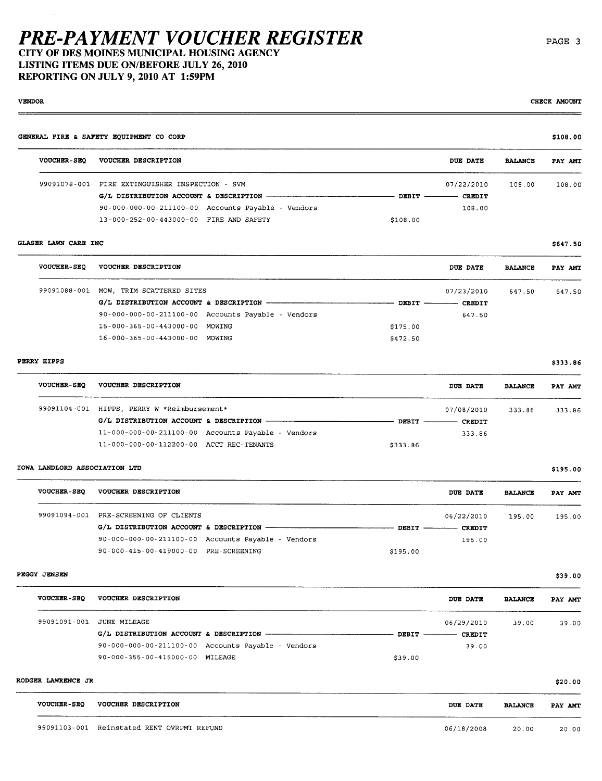CITY OF DES MOINES MUNICIPAL HOUSING AGENCY LISTING ITEMS DUE ON/BEFORE JULY 26, 2010 REPORTING ON JULY 9,2010 AT 1:59PM

VENOR

#### GENERAL FIRE & SAFETY EQUIPMENT CO CORP VOUCHER-SEQ VOUCHER DESCRIPTION 99091078-001 FIRE EXTINGUISHER INSPECTION - SVM  $G/L$  DISTRIBUTION ACCOUNT & DESCRIPTION  $-$ 90-000-000-00-211100-00 Accounts Payable - Vendors 13-000-252-00-443000-00 FIRE AND SAFETY  $-$  DEBIT  $-$ \$108.00 DUB DATE 07/22/2010  $-$  CREDIT 108.00 BALANCE 108.00 \$108.00 PAY AM 108.00

#### GLASER LAWN CARE INC

 $\overline{\phantom{a}}$ 

| <b>VOUCHER-SEO</b> | VOUCHER DESCRIPTION            |                                                                |                | DUE DATE      | <b>BALANCE</b> | PAY AMT |
|--------------------|--------------------------------|----------------------------------------------------------------|----------------|---------------|----------------|---------|
| 99091088-001       | MOW. TRIM SCATTERED SITES      |                                                                |                | 07/23/2010    | 647.50         | 647.50  |
|                    |                                |                                                                | DEBIT $\qquad$ | <b>CREDIT</b> |                |         |
|                    |                                | $90 - 000 - 000 - 00 - 211100 - 00$ Accounts Payable - Vendors |                | 647.50        |                |         |
|                    | 15-000-365-00-443000-00 MOWING |                                                                | \$175.00       |               |                |         |
|                    | 16-000-365-00-443000-00 MOWING |                                                                | \$472.50       |               |                |         |
|                    |                                |                                                                |                |               |                |         |

#### PERRY HIPPS

| <b>VOUCHER-SEO</b> | VOUCHER DESCRIPTION                                |               | <b>DUE DATE</b><br><b>BALANCE</b> | PAY AMT |
|--------------------|----------------------------------------------------|---------------|-----------------------------------|---------|
|                    | 99091104-001 HIPPS, PERRY W *Reimbursement*        |               | 07/08/2010<br>333.86              | 333.86  |
|                    |                                                    | $DEFIT$ ————— | <b>CREDIT</b>                     |         |
|                    | 11-000-000-00-211100-00 Accounts Payable - Vendors |               | 333.86                            |         |
|                    | 11-000-000-00-112200-00 ACCT REC-TENANTS           | \$333.86      |                                   |         |

#### IOWA LANDLORD ASSOCIATION LTD

| <b>VOUCHER-SEO</b> | VOUCHER DESCRIPTION                   |                                                          |                         | DUE DATE   | <b>BALANCE</b> | PAY AMT |
|--------------------|---------------------------------------|----------------------------------------------------------|-------------------------|------------|----------------|---------|
| 99091094-001       | PRE-SCREENING OF CLIENTS              |                                                          |                         | 06/22/2010 | 195.00         | 195.00  |
|                    |                                       | G/L DISTRIBUTION ACCOUNT & DESCRIPTION ----------------- | DEBIT ---------- CREDIT |            |                |         |
|                    |                                       | $90-000-000-00-211100-00$ Accounts Payable - Vendors     |                         | 195.00     |                |         |
|                    | 90-000-415-00-419000-00 PRE-SCREENING |                                                          | \$195.00                |            |                |         |

#### PEGGY JENSEN

| <b>VOUCHER-SEO</b> | VOUCHER DESCRIPTION             |                                                    |         | DUE DATE                  | <b>BALANCE</b> | PAY AMT |
|--------------------|---------------------------------|----------------------------------------------------|---------|---------------------------|----------------|---------|
|                    | 99091091-001 JUNE MILEAGE       |                                                    |         | 06/29/2010                | 39.00          | 39.00   |
|                    |                                 |                                                    |         | DEBIT ------------ CREDIT |                |         |
|                    |                                 | 90-000-000-00-211100-00 Accounts Payable - Vendors |         | 39.00                     |                |         |
|                    | 90-000-355-00-415000-00 MILEAGE |                                                    | \$39.00 |                           |                |         |

#### RODGER LAWRENCE JR

 $\overline{\phantom{a}}$ 

| <b>VOUCHER-SEO</b> | VOUCHER DESCRIPTION                        | DUE DATE   | <b>BALANCE</b> | PAY AMT |
|--------------------|--------------------------------------------|------------|----------------|---------|
|                    | 99091103-001 Reinstated RENT OVRPMT REFUND | 06/18/2008 | 20.00          | 20.00   |

\$195.00

\$39.00

\$20.00

\$647. SO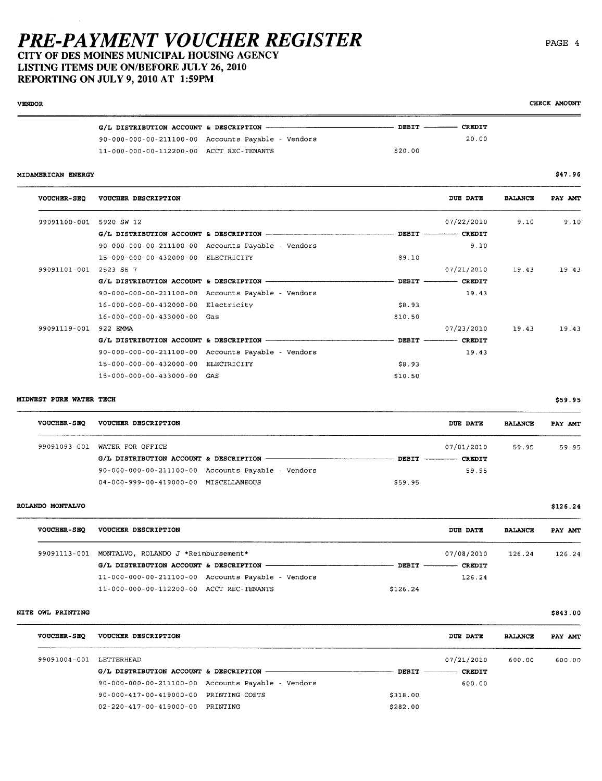CITY OF DES MOINES MUNICIPAL HOUSING AGENCY LISTING ITEMS DUE ON/BEFORE JULY 26, 2010

REPORTING ON JULY 9,2010 AT 1:59PM VENOR

|                                          |                                                    | DEBIT --------- CREDIT |       |
|------------------------------------------|----------------------------------------------------|------------------------|-------|
|                                          | 90-000-000-00-211100-00 Accounts Payable - Vendors |                        | 20.00 |
| 11-000-000-00-112200-00 ACCT REC-TENANTS |                                                    | \$20.00                |       |

MIDAMERICAN ENERGY

| <b>VOUCHER-SEQ</b> | VOUCHER DESCRIPTION                        |                                                    |                 | DUE DATE                | <b>BALANCE</b> | PAY AMT |
|--------------------|--------------------------------------------|----------------------------------------------------|-----------------|-------------------------|----------------|---------|
| 99091100-001       | 5920 SW 12                                 |                                                    |                 | 07/22/2010              | 9.10           | 9.10    |
|                    | G/L DISTRIBUTION ACCOUNT & DESCRIPTION -   |                                                    |                 | DEBIT ---------- CREDIT |                |         |
|                    |                                            | 90-000-000-00-211100-00 Accounts Payable - Vendors |                 | 9.10                    |                |         |
|                    | 15-000-000-00-432000-00 ELECTRICITY        |                                                    | \$9.10          |                         |                |         |
| 99091101-001       | 2523 SE 7                                  |                                                    |                 | 07/21/2010              | 19.43          | 19.43   |
|                    | G/L DISTRIBUTION ACCOUNT & DESCRIPTION -   |                                                    | $DEFT$ ________ | <b>CREDIT</b>           |                |         |
|                    |                                            | 90-000-000-00-211100-00 Accounts Payable - Vendors |                 | 19.43                   |                |         |
|                    | 16-000-000-00-432000-00 Electricity        |                                                    | \$8.93          |                         |                |         |
|                    | 16-000-000-00-433000-00 Gas                |                                                    | \$10.50         |                         |                |         |
| 99091119-001       | 922 EMMA                                   |                                                    |                 | 07/23/2010              | 19.43          | 19.43   |
|                    | $G/L$ DISTRIBUTION ACCOUNT & DESCRIPTION - |                                                    | DEBIT -         | <b>CREDIT</b>           |                |         |
|                    |                                            | 90-000-000-00-211100-00 Accounts Payable - Vendors |                 | 19.43                   |                |         |
|                    | 15-000-000-00-432000-00 ELECTRICITY        |                                                    | \$8.93          |                         |                |         |
|                    | 15-000-000-00-433000-00 GAS                |                                                    | \$10.50         |                         |                |         |

#### MIDWEST PURE WATER TECH

| <b>VOUCHER-SEO</b> | VOUCHER DESCRIPTION                   |                                                                |         | <b>DUE DATE</b>        | <b>BALANCE</b> | PAY AMT |
|--------------------|---------------------------------------|----------------------------------------------------------------|---------|------------------------|----------------|---------|
|                    | 99091093-001 WATER FOR OFFICE         |                                                                |         | 07/01/2010             | 59.95          | 59.95   |
|                    |                                       |                                                                |         | DEBIT --------- CREDIT |                |         |
|                    |                                       | $90 - 000 - 000 - 00 - 211100 - 00$ Accounts Payable - Vendors |         | 59.95                  |                |         |
|                    | 04-000-999-00-419000-00 MISCELLANEOUS |                                                                | \$59.95 |                        |                |         |
|                    |                                       |                                                                |         |                        |                |         |

#### ROLANDO MONTALVO

| <b>VOUCHER-SEO</b> | <b>VOUCHER DESCRIPTION</b>                                     | <b>DUE DATE</b>        | <b>BALANCE</b> | PAY AMT |
|--------------------|----------------------------------------------------------------|------------------------|----------------|---------|
| 99091113-001       | MONTALVO, ROLANDO J *Reimbursement*                            | 07/08/2010             | 126.24         | 126.24  |
|                    |                                                                | DEBIT --------- CREDIT |                |         |
|                    | $11 - 000 - 000 - 00 - 211100 - 00$ Accounts Payable - Vendors | 126.24                 |                |         |
|                    | 11-000-000-00-112200-00 ACCT REC-TENANTS                       | \$126.24               |                |         |

#### NITE OWL PRINTING

| <b>VOUCHER-SEO</b>      | VOUCHER DESCRIPTION                    |                                                    |          | DUE DATE      | <b>BALANCE</b> | PAY AMT |
|-------------------------|----------------------------------------|----------------------------------------------------|----------|---------------|----------------|---------|
| 99091004-001 LETTERHEAD |                                        |                                                    |          | 07/21/2010    | 600.00         | 600.00  |
|                         | G/L DISTRIBUTION ACCOUNT & DESCRIPTION |                                                    | DBBIT    | <b>CREDIT</b> |                |         |
|                         |                                        | 90-000-000-00-211100-00 Accounts Payable - Vendors |          | 600.00        |                |         |
|                         | 90-000-417-00-419000-00                | PRINTING COSTS                                     | \$318.00 |               |                |         |
|                         | 02-220-417-00-419000-00                | PRINTING                                           | \$282.00 |               |                |         |
|                         |                                        |                                                    |          |               |                |         |

CHECK AMOUNT

\$47.96

\$126.24

\$59.95

\$843.00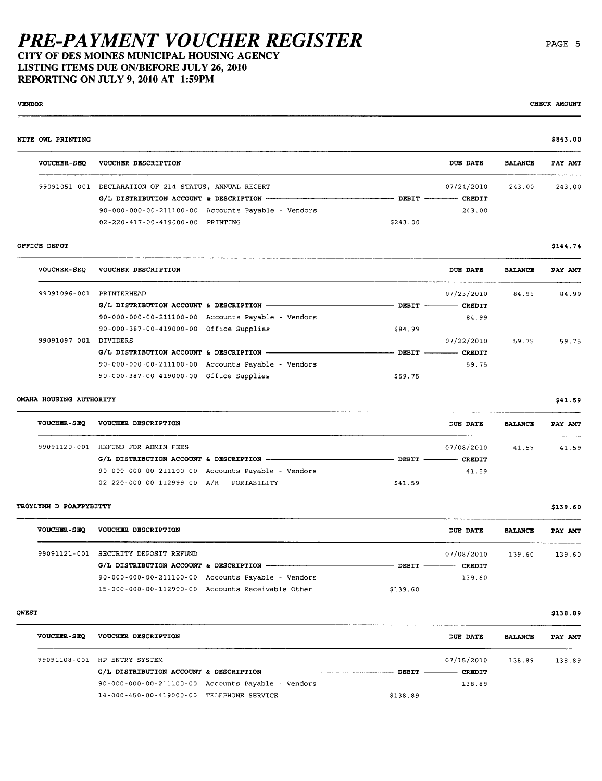CITY OF DES MOINES MUNICIPAL HOUSING AGENCY LISTING ITEMS DUE ON/BEFORE JULY 26, 2010 REPORTING ON JULY 9,2010 AT 1:59PM

VENDOR CHECK AMOUNT CHECK OF CHECK OF CHECK OF CHECK OF CHECK OF CHECK OF CHECK OF CHECK OF CHECK OF CHECK OF CHECK OF CHECK OF CHECK OF CHECK OF CHECK OF CHECK OF CHECK OF CHECK OF CHECK OF CHECK OF CHECK OF CHECK OF CHEC

### NITE OWL PRINTING \$843.00 VOUCHER-SEQ VOUCHER DESCRIPTION DUB DATE BALCE PAY AM 99091051-001 DECLATION OF 214 STATUS, ANUAL RECERT 07/24/2010 243.00 243.00 G/L DISTRIBUTION ACCOUN & DESCRIPTION DEBIT CREIT 90- 000 - 000 - 00 - 2111 00 - 00 Accounts Payable - Vendors 243.00 02-220-417-00-419000-00 PRINTING \$243.00

#### OFFICE DEPOT  $$144.74$

| <b>VOUCHER-SEO</b> | VOUCHER DESCRIPTION                     |                                                                |              | DUE DATE      | <b>BALANCE</b> | PAY AMT |
|--------------------|-----------------------------------------|----------------------------------------------------------------|--------------|---------------|----------------|---------|
| 99091096-001       | PRINTERHEAD                             |                                                                |              | 07/23/2010    | 84.99          | 84.99   |
|                    |                                         |                                                                | DEBIT -      | <b>CREDIT</b> |                |         |
|                    |                                         | $90-000-000-00-211100-00$ Accounts Payable - Vendors           |              | 84.99         |                |         |
|                    | 90-000-387-00-419000-00 Office Supplies |                                                                | \$84.99      |               |                |         |
| 99091097-001       | DIVIDERS                                |                                                                |              | 07/22/2010    | 59.75          | 59.75   |
|                    | G/L DISTRIBUTION ACCOUNT & DESCRIPTION  |                                                                | <b>DEBIT</b> | <b>CREDIT</b> |                |         |
|                    |                                         | $90 - 000 - 000 - 00 - 211100 - 00$ Accounts Payable - Vendors |              | 59.75         |                |         |
|                    | 90-000-387-00-419000-00 Office Supplies |                                                                | \$59.75      |               |                |         |

#### OMAHA HOUSING AUTHORITY \$41.59

| <b>VOUCHER-SEQ</b> | VOUCHER DESCRIPTION                                            | DUE DATE               | <b>BALANCE</b> | PAY AMT |
|--------------------|----------------------------------------------------------------|------------------------|----------------|---------|
| 99091120-001       | REFUND FOR ADMIN FEES                                          | 07/08/2010             | 41.59          | 41.59   |
|                    |                                                                | DEBIT<br><b>CREDIT</b> |                |         |
|                    | $90 - 000 - 000 - 00 - 211100 - 00$ Accounts Payable - Vendors | 41.59                  |                |         |
|                    | 02-220-000-00-112999-00 A/R - PORTABILITY                      | \$41.59                |                |         |

#### TROYLYN D POAFPYBITTY \$139.60

| <b>VOUCHER-SEO</b> | VOUCHER DESCRIPTION     |                                                    | DUE DATE                       | <b>BALANCE</b> | PAY AMT |
|--------------------|-------------------------|----------------------------------------------------|--------------------------------|----------------|---------|
| 99091121-001       | SECURITY DEPOSIT REFUND |                                                    | 07/08/2010                     | 139.60         | 139.60  |
|                    |                         |                                                    | $DEBIT$ —————<br><b>CREDIT</b> |                |         |
|                    |                         | 90-000-000-00-211100-00 Accounts Payable - Vendors | 139.60                         |                |         |
|                    |                         | 15-000-000-00-112900-00 Accounts Receivable Other  | \$139.60                       |                |         |

### QWBST \$138.89

| <b>VOUCHER-SEQ</b> | VOUCHER DESCRIPTION                       |                                                    |          | DUE DATE      | <b>BALANCE</b> | PAY AMT |
|--------------------|-------------------------------------------|----------------------------------------------------|----------|---------------|----------------|---------|
| 99091108-001       | HP ENTRY SYSTEM                           |                                                    |          | 07/15/2010    | 138.89         | 138.89  |
|                    |                                           |                                                    | DEBIT    | <b>CREDIT</b> |                |         |
|                    |                                           | 90-000-000-00-211100-00 Accounts Payable - Vendors |          | 138.89        |                |         |
|                    | 14-000-450-00-419000-00 TELEPHONE SERVICE |                                                    | \$138.89 |               |                |         |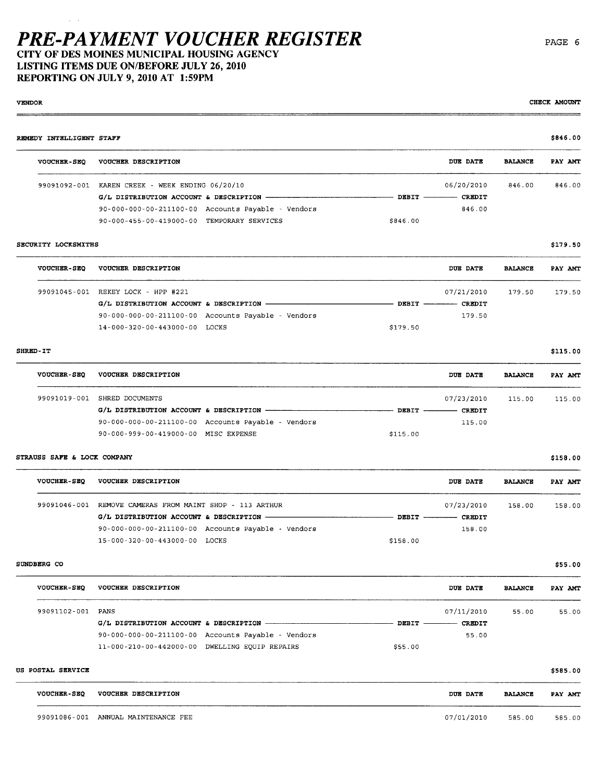CITY OF DES MOINES MUNICIPAL HOUSING AGENCY LISTING ITEMS DUE ON/BEFORE JULY 26, 2010 REPORTING ON JULY 9,2010 AT 1:59PM

REMEDY INTELLIGENT STAFF \$846.00 \$846.00 \$85.00 \$85.00 \$85.00 \$85.00 \$85.00 \$85.00 \$85.00 \$85.00 \$85.00 \$85.00 VOUCHER-SEQ VOUCHER DESCRIPTION DUB DATE BALCE PAY AM 99091092-001 KAEN CREEK - WEEK ENDING 06/20/10 06/20/2010 846.00 846.00  $G/L$  DISTRIBUTION ACCOUNT & DESCRIPTION  $-\$ cred CREDIT DEBIT  $-$  CREDIT 90- 000- 000- 00-211100- 00 Accounts Payable Vendors 846.00 90 - 000 - 4 55 - 00 - 4 19000 - 00 TEMPORAY SERVICES \$846.00 SECURITY LOCKSMITHS \$179.50 VOUCHER-SEQ VOUCHER DESCRIPTION DUB DATE BALCE PAY AM 99091045-001 REKEY LOCK - HPP #221 07/21/2010 179.50 179.50 179.50 G/L DISTRIBUTION ACCOUN & DESCRIPTION DEBIT CREDIT 90- 0 00- 000 - 00 - 211100 - 00 Accounts Payable - Vendors 179.50 14 - 000- 320 - 00 - 443 000- 00 LOCKS \$179.50  $\texttt{SHRED-IT}$  \$115.00 VOUCHER-SEQ VOUCHER DESCRIPTION DUB DATE BALANCE PAY AMT 99091019 - 001 SHRED DOCUMENTS 07/23/2010 115.00 115.00 G/L DISTRIBUTION ACCOUN & DESCRIPTION DEBIT CREDIT

VENDOR DE CHECK AMOUNT EN CHECK OUTLINE EN CHECK OUTLINE EN CHECK OUTLINE CHECK AMOUNT

#### STRAUSS SAFE & LOCK COMPANY \$158.00

| <b>VOUCHER-SEO</b> | <b>VOUCHER DESCRIPTION</b>                         |                          | DUE DATE   | <b>BALANCE</b> | PAY AMT |
|--------------------|----------------------------------------------------|--------------------------|------------|----------------|---------|
| 99091046-001       | REMOVE CAMERAS FROM MAINT SHOP - 113 ARTHUR        |                          | 07/23/2010 | 158.00         | 158.00  |
|                    |                                                    | DEBIT ----------- CREDIT |            |                |         |
|                    | 90-000-000-00-211100-00 Accounts Payable - Vendors |                          | 158.00     |                |         |
|                    | 15-000-320-00-443000-00 LOCKS                      | \$158.00                 |            |                |         |

90 - 000- 000 - 00 - 211100 - 00 Accounts Payable - Vendors 115.00

90 - 000 - 999 - 00 - 419000 - 00 MISC EXPENSE \$115.00

SUNDBERG CO  $$55.00$ 

| <b>VOUCHER-SEO</b> | <b>VOUCHER DESCRIPTION</b>                     |                                                                |         | DUE DATE                 | <b>BALANCE</b> | PAY AMI |
|--------------------|------------------------------------------------|----------------------------------------------------------------|---------|--------------------------|----------------|---------|
| 99091102-001       | PANS                                           |                                                                |         | 07/11/2010               | 55.00          | 55.00   |
|                    |                                                |                                                                |         | DEBIT ----------- CREDIT |                |         |
|                    |                                                | $90 - 000 - 000 - 00 - 211100 - 00$ Accounts Payable - Vendors |         | 55.00                    |                |         |
|                    | 11-000-210-00-442000-00 DWELLING EOUIP REPAIRS |                                                                | \$55.00 |                          |                |         |

#### US POSTAL SERVICE  $$585.00$

| <b>VOUCHER-SEQ</b> | VOUCHER DESCRIPTION    | <b>DUE DATE</b> | <b>BALANCE</b> | PAY AMT |
|--------------------|------------------------|-----------------|----------------|---------|
| 99091086-001       | ANNUAL MAINTENANCE FEE | 07/01/2010      | 585.00         | 585.00  |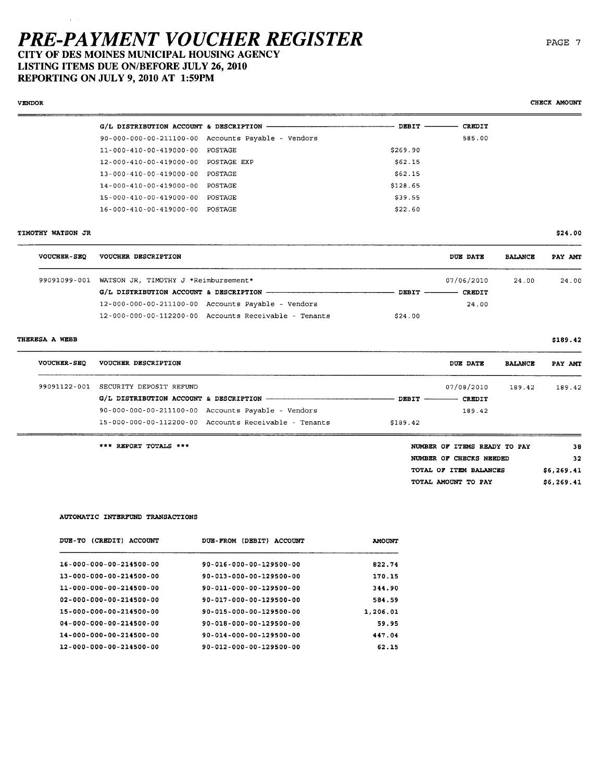CITY OF DES MOINES MUNICIPAL HOUSING AGENCY LISTING ITEMS DUE ON/BEFORE JULY 26, 2010

REPORTING ON JULY 9,2010 AT 1:59PM

#### $G/L$  DISTRIBUTION ACCOUNT & DESCRIPTION -90-000-000-00-211100-00 Accounts Payable - Vendors 11-000-410-00-419000-00 POSTAGE 12-000-410-00-419000-00 POSTAGE EXP 13-000-410-00-419000-00 POSTAGE 14-000-410-00-419000-00 POSTAGE 15-000-410-00-419000-00 POSTAGE 16-000-410-00-419000-00 POSTAGE - DEBIT - CREDIT 585.00 \$269.90 \$62.15 \$62.15 \$128.65 \$39.55 \$22.60

#### TIMOTHY WATSON JR

VENOR

| <b>VOUCHER-SEQ</b> | VOUCHER DESCRIPTION                                               |                | <b>DUE DATE</b> | <b>BALANCE</b> | PAY AMT |
|--------------------|-------------------------------------------------------------------|----------------|-----------------|----------------|---------|
| 99091099-001       | WATSON JR, TIMOTHY J *Reimbursement*                              |                | 07/06/2010      | 24.00          | 24.00   |
|                    |                                                                   | $DBBIT$ —————— | CREDIT          |                |         |
|                    | $12 - 000 - 000 - 00 - 211100 - 00$ Accounts Payable - Vendors    |                | 24.00           |                |         |
|                    | $12 - 000 - 000 - 00 - 112200 - 00$ Accounts Receivable - Tenants | \$24.00        |                 |                |         |

#### THERESA A WEBB

| <b>VOUCHER-SEO</b> | <b>VOUCHER DESCRIPTION</b>                                        | DUE DATE                   | <b>BALANCE</b> | PAY AMT |
|--------------------|-------------------------------------------------------------------|----------------------------|----------------|---------|
| 99091122-001       | SECURITY DEPOSIT REFUND                                           | 07/08/2010                 | 189.42         | 189.42  |
|                    |                                                                   | DEBIT ------------- CREDIT |                |         |
|                    | 90-000-000-00-211100-00 Accounts Payable - Vendors                | 189.42                     |                |         |
|                    | $15 - 000 - 000 - 00 - 112200 - 00$ Accounts Receivable - Tenants | \$189.42                   |                |         |

\*\*\* REPORT TOTALS \*\*\*

| NUMBER OF ITEMS READY TO PAY | 38         |
|------------------------------|------------|
| NUMBER OF CHECKS NEEDED      | 32         |
| TOTAL OF ITEM BALANCES       | \$6,269.41 |
| TOTAL AMOUNT TO PAY          | \$6,269.41 |

#### AUTOMATIC INTERFUND TRANSACTIONS

| (CREDIT)<br><b>DUE-TO</b><br><b>ACCOUNT</b> | (DEBIT)<br><b>DUE-FROM</b><br><b>ACCOUNT</b> | <b>AMOUNT</b> |
|---------------------------------------------|----------------------------------------------|---------------|
| 16-000-000-00-214500-00                     | 90-016-000-00-129500-00                      | 822.74        |
| 13-000-000-00-214500-00                     | 90-013-000-00-129500-00                      | 170.15        |
| 11-000-000-00-214500-00                     | 90-011-000-00-129500-00                      | 344.90        |
| 02-000-000-00-214500-00                     | 90-017-000-00-129500-00                      | 584.59        |
| 15-000-000-00-214500-00                     | 90-015-000-00-129500-00                      | 1,206.01      |
| $04 - 000 - 000 - 00 - 214500 - 00$         | 90-018-000-00-129500-00                      | 59.95         |
| 14-000-000-00-214500-00                     | 90-014-000-00-129500-00                      | 447.04        |
| 12-000-000-00-214500-00                     | $90 - 012 - 000 - 00 - 129500 - 00$          | 62.15         |

CHECK AMOUNT

\$24.00

\$189.42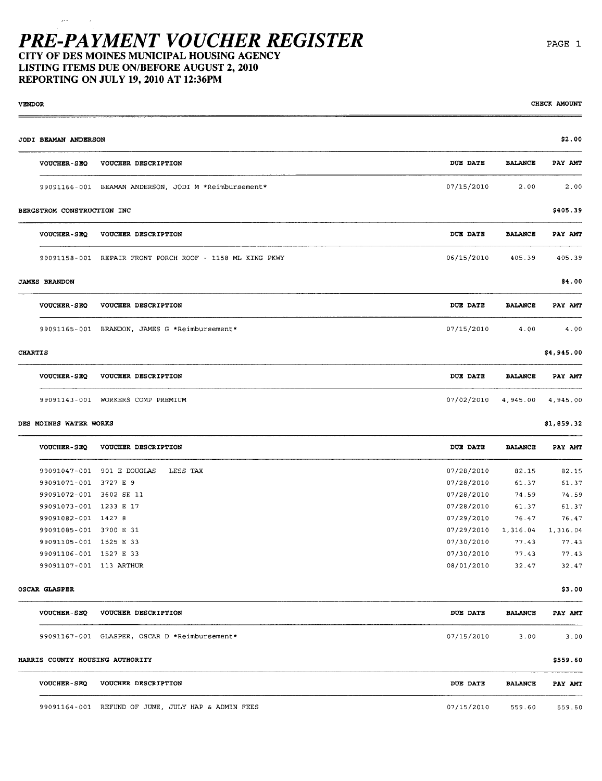### PRE-PAYMENT VOUCHER REGISTER CITY OF DES MOINES MUNICIPAL HOUSING AGENCY

LISTING ITEMS DUE ON/BEFORE AUGUST 2, 2010 REPORTING ON JULY 19, 2010 AT 12:36PM

VENDOR DE CHECK AMOUNT EN CHECK OUTLINE EN CHECK OUTLINE EN CHECK OUTLINE EN CHECK AMOUNT JODI BEA ANERSON \$2.00 VOUCHER-SEQ VOUCHER DESCRIPTION **DUB DATE BALANCE PAY AMT** 99091166-001 BEAMAN ANDERSON, JODI M \*Reimbursement \* 199091166-001 2.00 2.00 2.00 BERGSTROM CONSTRUCTION INC \$405.39 VOUCHER-SEQ VOUCHER DESCRIPTION **DUB DATE BALANCE PAY AMT** 99091158-001 REPAIR FRONT PORCH ROOF - 1158 ML KING PKWY 06/15/2010 405.39 405.39 405.39 JAMES BRANDON \$4.000 \$4.000 \$4.000 \$4.000 \$4.000 \$4.000 \$4.000 \$4.000 \$4.000 \$4.000 \$4.000 \$4.000 \$4.000 \$4.00 VOUCHER-SEQ VOUCHER DESCRIPTION DUB DATE BALCE PAY AM 99091165 - 001 BRADON, JAMES G \*Reimbursement\* 07/15/2010 4.00 4.00

| <b>CHARTIS</b>     |                                   |                              |                | \$4,945.00     |  |
|--------------------|-----------------------------------|------------------------------|----------------|----------------|--|
| <b>VOUCHER-SEQ</b> | <b>VOUCHER DESCRIPTION</b>        | <b>DUE DATE</b>              | <b>BALANCE</b> | <b>PAY AMT</b> |  |
|                    | 99091143-001 WORKERS COMP PREMIUM | 07/02/2010 4,945.00 4,945.00 |                |                |  |

#### DES MOINES WATER WORKS \$1,859.32

| <b>VOUCHER-SEO</b> | VOUCHER DESCRIPTION       | DUE DATE   | <b>BALANCE</b> | PAY AMT  |
|--------------------|---------------------------|------------|----------------|----------|
| 99091047-001       | 901 E DOUGLAS<br>LESS TAX | 07/28/2010 | 82.15          | 82.15    |
| 99091071-001       | 3727 E 9                  | 07/28/2010 | 61.37          | 61.37    |
| 99091072-001       | 3602 SE 11                | 07/28/2010 | 74.59          | 74.59    |
| 99091073-001       | 1233 E 17                 | 07/28/2010 | 61.37          | 61.37    |
| 99091082-001       | 1427 8                    | 07/29/2010 | 76.47          | 76.47    |
| 99091085-001       | 3700 E 31                 | 07/29/2010 | 1.316.04       | 1,316.04 |
| 99091105-001       | 1525 E 33                 | 07/30/2010 | 77.43          | 77.43    |
| 99091106-001       | 1527 E 33                 | 07/30/2010 | 77.43          | 77.43    |
| 99091107-001       | 113 ARTHUR                | 08/01/2010 | 32.47          | 32.47    |
|                    |                           |            |                |          |

#### OSCAR GLASPER \$3.00 \$3.00 \$3.00 \$3.00 \$3.00 \$3.00 \$3.00 \$3.00 \$3.00 \$3.00 \$3.00 \$

| <b>VOUCHER-SEO</b>              | <b>VOUCHER DESCRIPTION</b>            | <b>DUE DATE</b> | <b>BALANCE</b> | PAY AMT  |
|---------------------------------|---------------------------------------|-----------------|----------------|----------|
| 99091167-001                    | GLASPER, OSCAR D *Reimbursement*      | 07/15/2010      | 3.00           | 3.00     |
| HARRIS COUNTY HOUSING AUTHORITY |                                       |                 |                | \$559.60 |
| <b>VOUCHER-SEQ</b>              | <b>VOUCHER DESCRIPTION</b>            | DUE DATE        | <b>BALANCE</b> | PAY AMT  |
| 99091164-001                    | REFUND OF JUNE, JULY HAP & ADMIN FEES | 07/15/2010      | 559.60         | 559.60   |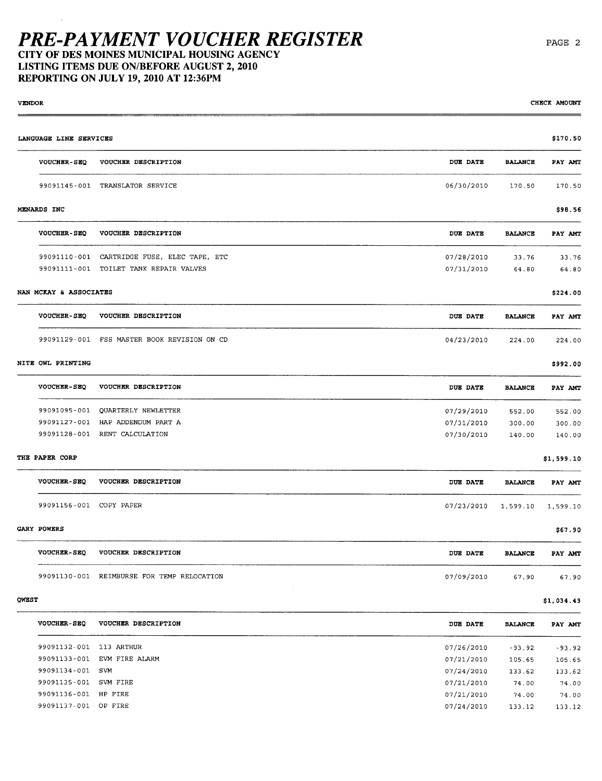CITY OF DES MOINES MUNICIPAL HOUSING AGENCY LISTING ITEMS DUE ON/BEFORE AUGUST 2, 2010 REPORTING ON JULY 19, 2010 AT 12:36PM

VENOR CHECK AMOUN LANGUAGE LINE SERVICES \$170.50 VOUCHER-SEQ VOUCHER DESCRIPTION DUB DATE BALCE PAY AM 99091145 - 001 TRASLATOR SERVICE 06/30/2010 170.50 170.50 MENARDS INC \$98.56 VOUCHER-SEQ VOUCHER DESCRIPTION DUB DATE BALCE PAY AM 99091110-001 CARTRIDGE FUSE, ELEC TAPE, ETC 07/28/2010 33.76 33.76 99091111-001 TOILET TANK REPAIR VALVES **199091111-001** 64.80 64.80 64.80 64.80 64.80 64.80 64.80 64.80 64.80 64.80 64.80 **64.80 64.80 64.80 64.80 64.80 64.80 64.80 64.80 64.80 64.80 64.80 64.80 64.80 64.80 64.80 64.80 64.8** NAN MCKAY & ASSOCIATES \$224.00 VOUCHER- SEQ VOUCHER DESCRIPTION DUB DATE BALCE PAY AM 99091129-001 FSS MASTER BOOK REVISION ON CD 04/23/2010 224.00 224.00 NITE OWL PRINTING \$992.00 VOUCHER-SEQ VOUCHER DESCRIPTION DUB DATE BALANCE PAY AMI 99091095 - 001 QUARTERLY NEWLETTER 07/29/2010 552.00 552.00 99091127 - 001 HAP ADDENDUM PART A 07/31/2010 300.00 300.00 99091128-001 RENT CALCULATION 07/30/2010 140.00 140.00 THE PAPER CORP  $$1,599.10$ VOUCHER-SEQ VOUCHER DESCRIPTION **DUB** DATE BALANCE PAY AMT 99091156 - 001 COPY PAPER 07/23/2010 1,599.10 1,599.10  $GARY$  powers  $$67.90$ VOUCHER- SEQ VOUCHER DESCRIPTION DUB DATE BALCE PAY AM 99091130-001 REIMBURSE FOR TEMP RELOCATION 07/09/2010 67.90 67.90

QWBST \$1,034.43

| <b>VOUCHER-SEO</b> | VOUCHER DESCRIPTION | DUE DATE   | <b>BALANCE</b> | PAY AMT  |
|--------------------|---------------------|------------|----------------|----------|
| 99091132-001       | 113 ARTHUR          | 07/26/2010 | $-93.92$       | $-93.92$ |
| 99091133-001       | EVM FIRE ALARM      | 07/21/2010 | 105.65         | 105.65   |
| 99091134-001       | SVM                 | 07/24/2010 | 133.62         | 133.62   |
| 99091135-001       | SVM FIRE            | 07/21/2010 | 74.00          | 74.00    |
| 99091136-001       | HP FIRE             | 07/21/2010 | 74.00          | 74.00    |
| 99091137-001       | OP FIRE             | 07/24/2010 | 133.12         | 133.12   |
|                    |                     |            |                |          |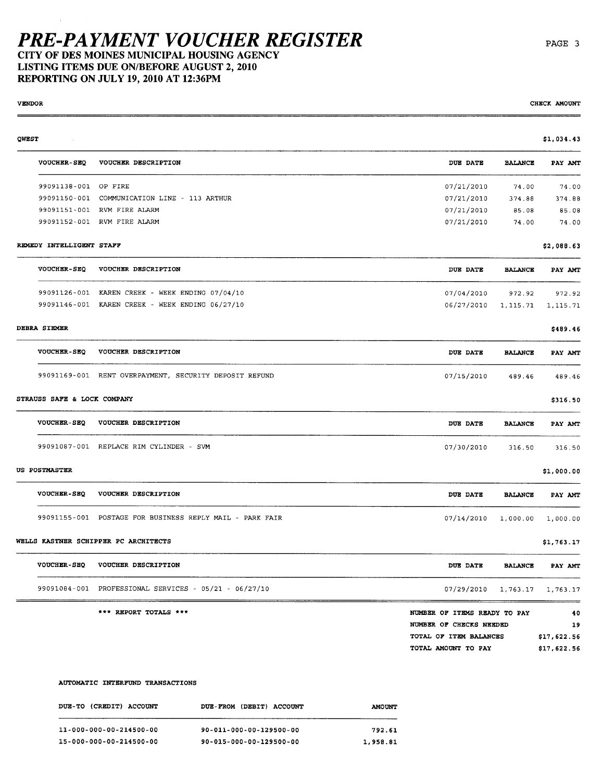CITY OF DES MOINES MUNICIPAL HOUSING AGENCY LISTING ITEMS DUE ON/BEFORE AUGUST 2, 2010 REPORTING ON JULY 19,2010 AT 12:36PM

VENDOR CHECK AMOUNT CHECK OF CHECK OF CHECK OF CHECK OF CHECK OF CHECK OF CHECK OF CHECK OF CHECK OF CHECK OF CHECK OF CHECK OF CHECK OF CHECK OF CHECK OF CHECK OF CHECK OF CHECK OF CHECK OF CHECK OF CHECK OF CHECK OF CHEC

| QWEST |                             |                                                          |                                |                | \$1,034.43  |
|-------|-----------------------------|----------------------------------------------------------|--------------------------------|----------------|-------------|
|       | <b>VOUCHER-SEQ</b>          | VOUCHER DESCRIPTION                                      | DUE DATE                       | <b>BALANCE</b> | PAY AMT     |
|       | 99091138-001 OP FIRE        |                                                          | 07/21/2010                     | 74.00          | 74.00       |
|       |                             | 99091150-001 COMMUNICATION LINE - 113 ARTHUR             | 07/21/2010                     | 374.88         | 374.88      |
|       |                             | 99091151-001 RVM FIRE ALARM                              | 07/21/2010                     | 85.08          | 85.08       |
|       |                             | 99091152-001 RVM FIRE ALARM                              | 07/21/2010                     | 74.00          | 74.00       |
|       | REMEDY INTELLIGENT STAFF    |                                                          |                                |                | \$2,088.63  |
|       | <b>VOUCHER-SEQ</b>          | VOUCHER DESCRIPTION                                      | DUE DATE                       | <b>BALANCE</b> | PAY AMT     |
|       |                             | 99091126-001 KAREN CREEK - WEEK ENDING 07/04/10          | 07/04/2010                     | 972.92         | 972.92      |
|       |                             | 99091146-001 KAREN CREEK - WEEK ENDING 06/27/10          | 06/27/2010                     | 1,115.71       | 1,115.71    |
|       | <b>DEBRA SIEMER</b>         |                                                          |                                |                | \$489.46    |
|       | <b>VOUCHER-SEQ</b>          | VOUCHER DESCRIPTION                                      | <b>DUE DATE</b>                | <b>BALANCE</b> | PAY AMT     |
|       |                             | 99091169-001 RENT OVERPAYMENT, SECURITY DEPOSIT REFUND   | 07/15/2010                     | 489.46         | 489.46      |
|       | STRAUSS SAFE & LOCK COMPANY |                                                          |                                |                | \$316.50    |
|       | <b>VOUCHER-SEQ</b>          | VOUCHER DESCRIPTION                                      | <b>DUE DATE</b>                | <b>BALANCE</b> | PAY AMT     |
|       |                             | 99091087-001 REPLACE RIM CYLINDER - SVM                  | 07/30/2010                     | 316.50         | 316.50      |
|       | US POSTMASTER               |                                                          |                                |                | \$1,000.00  |
|       | <b>VOUCHER-SEQ</b>          | VOUCHER DESCRIPTION                                      | <b>DUE DATE</b>                | <b>BALANCE</b> | PAY AMT     |
|       |                             | 99091155-001 POSTAGE FOR BUSINESS REPLY MAIL - PARK FAIR | 07/14/2010                     | 1,000.00       | 1,000.00    |
|       |                             | WELLS KASTNER SCHIPPER PC ARCHITECTS                     |                                |                | \$1,763.17  |
|       | <b>VOUCHER-SEQ</b>          | VOUCHER DESCRIPTION                                      | DUE DATE                       | <b>BALANCE</b> | PAY AMT     |
|       |                             | 99091084-001 PROFESSIONAL SERVICES - 05/21 - 06/27/10    | 07/29/2010 1, 763.17 1, 763.17 |                |             |
|       |                             | *** REPORT TOTALS ***                                    | NUMBER OF ITEMS READY TO PAY   |                | 40          |
|       |                             |                                                          | NUMBER OF CHECKS NEEDED        |                | 19          |
|       |                             |                                                          | TOTAL OF ITEM BALANCES         |                | \$17,622.56 |
|       |                             |                                                          | TOTAL AMOUNT TO PAY            |                | \$17,622.56 |

#### AUTOMATIC INTERFUND TRANSACTIONS

| DUE-TO (CREDIT) ACCOUNT | DUE-FROM (DEBIT) ACCOUNT | <b>AMOUNT</b> |
|-------------------------|--------------------------|---------------|
| 11-000-000-00-214500-00 | 90-011-000-00-129500-00  | 792.61        |
| 15-000-000-00-214500-00 | 90-015-000-00-129500-00  | 1,958.81      |